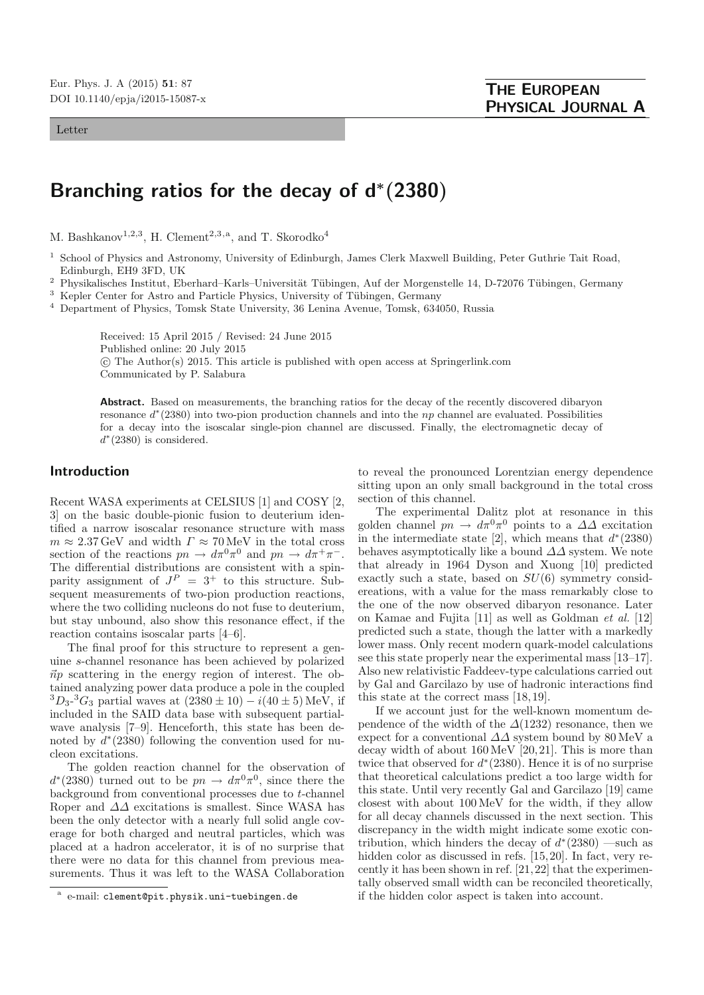#### Letter

# **Branching ratios for the decay of d***<sup>∗</sup>***(2380)**

M. Bashkanov<sup>1,2,3</sup>, H. Clement<sup>2,3,a</sup>, and T. Skorodko<sup>4</sup>

- <sup>1</sup> School of Physics and Astronomy, University of Edinburgh, James Clerk Maxwell Building, Peter Guthrie Tait Road, Edinburgh, EH9 3FD, UK
- <sup>2</sup> Physikalisches Institut, Eberhard–Karls–Universität Tübingen, Auf der Morgenstelle 14, D-72076 Tübingen, Germany
- <sup>3</sup> Kepler Center for Astro and Particle Physics, University of Tübingen, Germany
- <sup>4</sup> Department of Physics, Tomsk State University, 36 Lenina Avenue, Tomsk, 634050, Russia

Received: 15 April 2015 / Revised: 24 June 2015 Published online: 20 July 2015 -c The Author(s) 2015. This article is published with open access at Springerlink.com Communicated by P. Salabura

Abstract. Based on measurements, the branching ratios for the decay of the recently discovered dibaryon resonance d<sup>∗</sup>(2380) into two-pion production channels and into the np channel are evaluated. Possibilities for a decay into the isoscalar single-pion channel are discussed. Finally, the electromagnetic decay of  $d^*(2380)$  is considered.

## **Introduction**

Recent WASA experiments at CELSIUS [1] and COSY [2, 3] on the basic double-pionic fusion to deuterium identified a narrow isoscalar resonance structure with mass  $m \approx 2.37 \,\text{GeV}$  and width  $\Gamma \approx 70 \,\text{MeV}$  in the total cross section of the reactions  $pn \to d\pi^0 \pi^0$  and  $pn \to d\pi^+ \pi^-$ . The differential distributions are consistent with a spinparity assignment of  $J^P = 3^+$  to this structure. Subsequent measurements of two-pion production reactions, where the two colliding nucleons do not fuse to deuterium, but stay unbound, also show this resonance effect, if the reaction contains isoscalar parts [4–6].

The final proof for this structure to represent a genuine s-channel resonance has been achieved by polarized  $\vec{n}p$  scattering in the energy region of interest. The obtained analyzing power data produce a pole in the coupled  ${}^{3}D_{3}$ - ${}^{3}G_{3}$  partial waves at  $(2380 \pm 10) - i(40 \pm 5)$  MeV, if included in the SAID data base with subsequent partialwave analysis [7–9]. Henceforth, this state has been denoted by  $d^*(2380)$  following the convention used for nucleon excitations.

The golden reaction channel for the observation of  $d^*(2380)$  turned out to be  $pn \to d\pi^0\pi^0$ , since there the background from conventional processes due to t-channel Roper and  $\Delta\Delta$  excitations is smallest. Since WASA has been the only detector with a nearly full solid angle coverage for both charged and neutral particles, which was placed at a hadron accelerator, it is of no surprise that there were no data for this channel from previous measurements. Thus it was left to the WASA Collaboration to reveal the pronounced Lorentzian energy dependence sitting upon an only small background in the total cross section of this channel.

The experimental Dalitz plot at resonance in this golden channel  $pn \to d\pi^0 \pi^0$  points to a  $\Delta\Delta$  excitation in the intermediate state [2], which means that  $d^*(2380)$ behaves asymptotically like a bound  $\Delta\Delta$  system. We note that already in 1964 Dyson and Xuong [10] predicted exactly such a state, based on  $SU(6)$  symmetry considereations, with a value for the mass remarkably close to the one of the now observed dibaryon resonance. Later on Kamae and Fujita [11] as well as Goldman et al. [12] predicted such a state, though the latter with a markedly lower mass. Only recent modern quark-model calculations see this state properly near the experimental mass [13–17]. Also new relativistic Faddeev-type calculations carried out by Gal and Garcilazo by use of hadronic interactions find this state at the correct mass [18,19].

If we account just for the well-known momentum dependence of the width of the  $\Delta(1232)$  resonance, then we expect for a conventional  $\Delta\Delta$  system bound by 80 MeV a decay width of about 160MeV [20,21]. This is more than twice that observed for  $d^*(2380)$ . Hence it is of no surprise that theoretical calculations predict a too large width for this state. Until very recently Gal and Garcilazo [19] came closest with about 100MeV for the width, if they allow for all decay channels discussed in the next section. This discrepancy in the width might indicate some exotic contribution, which hinders the decay of  $d^*(2380)$  —such as hidden color as discussed in refs. [15,20]. In fact, very recently it has been shown in ref. [21,22] that the experimentally observed small width can be reconciled theoretically, if the hidden color aspect is taken into account.

e-mail: clement@pit.physik.uni-tuebingen.de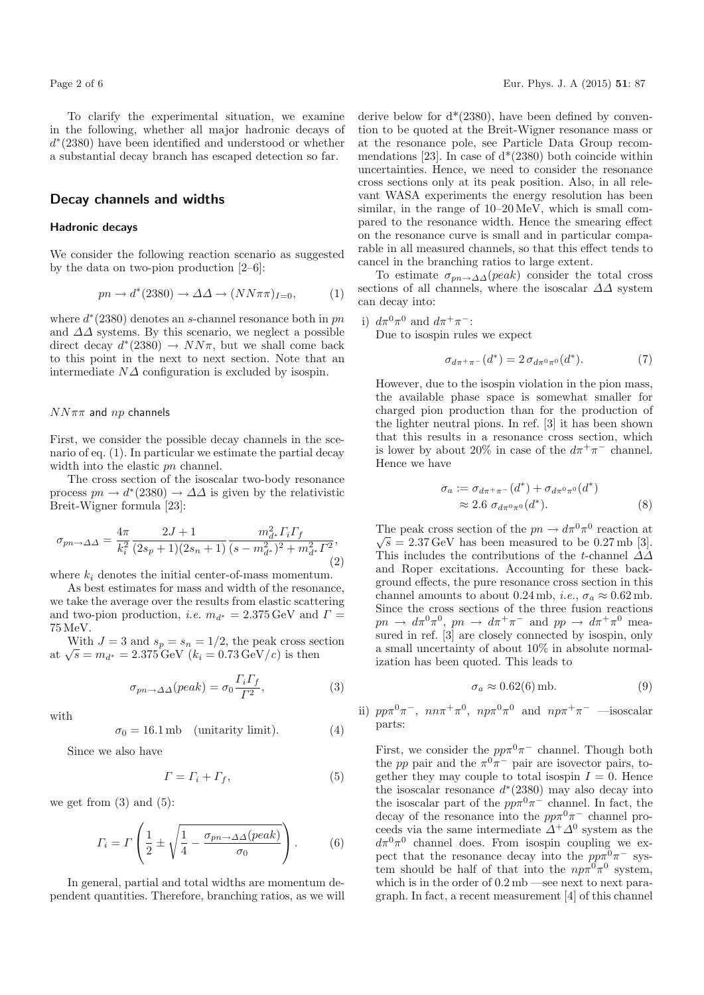To clarify the experimental situation, we examine in the following, whether all major hadronic decays of  $d<sup>*</sup>(2380)$  have been identified and understood or whether a substantial decay branch has escaped detection so far.

## **Decay channels and widths**

#### **Hadronic decays**

We consider the following reaction scenario as suggested by the data on two-pion production [2–6]:

$$
pn \to d^*(2380) \to \Delta\Delta \to (NN\pi\pi)_{I=0},\tag{1}
$$

where  $d^*(2380)$  denotes an s-channel resonance both in pn and  $\Delta\Delta$  systems. By this scenario, we neglect a possible direct decay  $d^*(2380) \rightarrow NN\pi$ , but we shall come back to this point in the next to next section. Note that an intermediate  $N\Delta$  configuration is excluded by isospin.

### $NN\pi\pi$  and  $np$  channels

First, we consider the possible decay channels in the scenario of eq. (1). In particular we estimate the partial decay width into the elastic  $pn$  channel.

The cross section of the isoscalar two-body resonance process  $pn \to d^*(2380) \to \Delta\Delta$  is given by the relativistic Breit-Wigner formula [23]:

$$
\sigma_{pn \to \Delta\Delta} = \frac{4\pi}{k_i^2} \frac{2J+1}{(2s_p+1)(2s_n+1)} \frac{m_{d^*}^2 \Gamma_i \Gamma_f}{(s-m_{d^*}^2)^2 + m_{d^*}^2 \Gamma^2},\tag{2}
$$

where  $k_i$  denotes the initial center-of-mass momentum.

As best estimates for mass and width of the resonance, we take the average over the results from elastic scattering and two-pion production, *i.e.*  $m_{d^*} = 2.375 \,\text{GeV}$  and  $\Gamma =$ 75MeV.

With  $J = 3$  and  $s_p = s_n = 1/2$ , the peak cross section at  $\sqrt{s} = m_{d^*} = 2.375 \text{ GeV } (k_i = 0.73 \text{ GeV}/c)$  is then

$$
\sigma_{pn \to \Delta\Delta}(peak) = \sigma_0 \frac{\Gamma_i \Gamma_f}{\Gamma^2},\tag{3}
$$

with

$$
\sigma_0 = 16.1 \,\text{mb} \quad \text{(unitarity limit)}.\tag{4}
$$

Since we also have

$$
\Gamma = \Gamma_i + \Gamma_f,\tag{5}
$$

we get from  $(3)$  and  $(5)$ :

$$
\Gamma_i = \Gamma \left( \frac{1}{2} \pm \sqrt{\frac{1}{4} - \frac{\sigma_{pn \to \Delta\Delta} (peak)}{\sigma_0}} \right). \tag{6}
$$

In general, partial and total widths are momentum dependent quantities. Therefore, branching ratios, as we will derive below for  $d^*(2380)$ , have been defined by convention to be quoted at the Breit-Wigner resonance mass or at the resonance pole, see Particle Data Group recommendations [23]. In case of  $d^*(2380)$  both coincide within uncertainties. Hence, we need to consider the resonance cross sections only at its peak position. Also, in all relevant WASA experiments the energy resolution has been similar, in the range of  $10-20 \,\text{MeV}$ , which is small compared to the resonance width. Hence the smearing effect on the resonance curve is small and in particular comparable in all measured channels, so that this effect tends to cancel in the branching ratios to large extent.

To estimate  $\sigma_{pn \to \Delta\Delta}(peak)$  consider the total cross sections of all channels, where the isoscalar  $\Delta\Delta$  system can decay into:

i) 
$$
d\pi^0\pi^0
$$
 and  $d\pi^+\pi^-$ :

Due to isospin rules we expect

$$
\sigma_{d\pi^+\pi^-}(d^*) = 2 \sigma_{d\pi^0\pi^0}(d^*). \tag{7}
$$

However, due to the isospin violation in the pion mass, the available phase space is somewhat smaller for charged pion production than for the production of the lighter neutral pions. In ref. [3] it has been shown that this results in a resonance cross section, which is lower by about 20% in case of the  $d\pi^+\pi^-$  channel. Hence we have

$$
\sigma_a := \sigma_{d\pi^+\pi^-}(d^*) + \sigma_{d\pi^0\pi^0}(d^*)
$$
  
\n
$$
\approx 2.6 \sigma_{d\pi^0\pi^0}(d^*).
$$
 (8)

The peak cross section of the  $pn \to d\pi^0 \pi^0$  reaction at The peak cross section of the  $pn \rightarrow a \rightarrow a$  is reaction at  $\sqrt{s} = 2.37 \,\text{GeV}$  has been measured to be 0.27 mb [3]. This includes the contributions of the t-channel  $\Delta\Delta$ and Roper excitations. Accounting for these background effects, the pure resonance cross section in this channel amounts to about 0.24 mb, *i.e.*,  $\sigma_a \approx 0.62$  mb. Since the cross sections of the three fusion reactions  $pn \to d\pi^0\pi^0$ ,  $pn \to d\pi^+\pi^-$  and  $pp \to d\pi^+\pi^0$  measured in ref. [3] are closely connected by isospin, only a small uncertainty of about 10% in absolute normalization has been quoted. This leads to

$$
\sigma_a \approx 0.62(6) \,\text{mb}.\tag{9}
$$

ii)  $pp\pi^0\pi^-$ ,  $nn\pi^+\pi^0$ ,  $np\pi^0\pi^0$  and  $np\pi^+\pi^-$  —isoscalar parts:

First, we consider the  $pp\pi^0\pi^-$  channel. Though both the pp pair and the  $\pi^0 \pi^-$  pair are isovector pairs, together they may couple to total isospin  $I = 0$ . Hence the isoscalar resonance  $d^*(2380)$  may also decay into the isoscalar part of the  $pp\pi^0\pi^-$  channel. In fact, the decay of the resonance into the  $pp\pi^0\pi^-$  channel proceeds via the same intermediate  $\Delta^+ \Delta^0$  system as the  $d\pi^0\pi^0$  channel does. From isospin coupling we expect that the resonance decay into the  $pp\pi^0\pi^-$  system should be half of that into the  $np\pi^{0}\pi^{0}$  system, which is in the order of 0.2mb —see next to next paragraph. In fact, a recent measurement [4] of this channel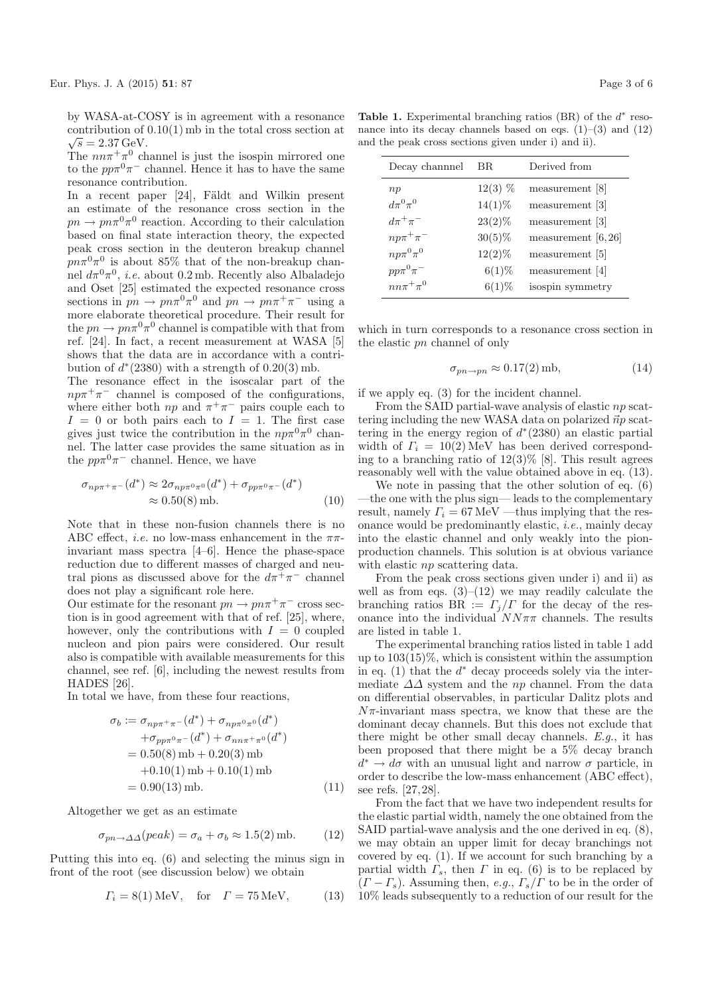by WASA-at-COSY is in agreement with a resonance contribution of  $0.10(1)$  mb in the total cross section at  $\sqrt{s} = 2.37 \,\text{GeV}.$ 

The  $nn\pi^{+}\pi^{0}$  channel is just the isospin mirrored one to the  $pp\pi^0\pi^-$  channel. Hence it has to have the same resonance contribution.

In a recent paper  $[24]$ , Fäldt and Wilkin present an estimate of the resonance cross section in the  $pn \to pn\pi^0\pi^0$  reaction. According to their calculation based on final state interaction theory, the expected peak cross section in the deuteron breakup channel  $pn\pi^{0}\pi^{0}$  is about 85% that of the non-breakup channel  $d\pi^0\pi^0$ , *i.e.* about 0.2mb. Recently also Albaladejo and Oset [25] estimated the expected resonance cross sections in  $pn \to pn\pi^0\pi^0$  and  $pn \to pn\pi^+\pi^-$  using a more elaborate theoretical procedure. Their result for the  $pn \to pn\pi^0\pi^0$  channel is compatible with that from ref. [24]. In fact, a recent measurement at WASA [5] shows that the data are in accordance with a contribution of  $d^*(2380)$  with a strength of  $0.20(3)$  mb.

The resonance effect in the isoscalar part of the  $np\pi^+\pi^-$  channel is composed of the configurations, where either both  $np$  and  $\pi^+\pi^-$  pairs couple each to  $I = 0$  or both pairs each to  $I = 1$ . The first case gives just twice the contribution in the  $np\pi^{0}\pi^{0}$  channel. The latter case provides the same situation as in the  $pp\pi^0\pi^-$  channel. Hence, we have

$$
\sigma_{np\pi^+\pi^-}(d^*) \approx 2\sigma_{np\pi^0\pi^0}(d^*) + \sigma_{pp\pi^0\pi^-}(d^*)
$$
  

$$
\approx 0.50(8) \text{ mb.}
$$
 (10)

Note that in these non-fusion channels there is no ABC effect, *i.e.* no low-mass enhancement in the  $\pi\pi$ invariant mass spectra [4–6]. Hence the phase-space reduction due to different masses of charged and neutral pions as discussed above for the  $d\pi^+\pi^-$  channel does not play a significant role here.

Our estimate for the resonant  $pn \to pn\pi^+\pi^-$  cross section is in good agreement with that of ref. [25], where, however, only the contributions with  $I = 0$  coupled nucleon and pion pairs were considered. Our result also is compatible with available measurements for this channel, see ref. [6], including the newest results from HADES [26].

In total we have, from these four reactions,

$$
\sigma_b := \sigma_{np\pi^+\pi^-}(d^*) + \sigma_{np\pi^0\pi^0}(d^*)
$$
  
+  $\sigma_{pp\pi^0\pi^-}(d^*) + \sigma_{nn\pi^+\pi^0}(d^*)$   
= 0.50(8) mb + 0.20(3) mb  
+0.10(1) mb + 0.10(1) mb  
= 0.90(13) mb. (11)

Altogether we get as an estimate

$$
\sigma_{pn \to \Delta\Delta}(peak) = \sigma_a + \sigma_b \approx 1.5(2) \,\text{mb}.\tag{12}
$$

Putting this into eq. (6) and selecting the minus sign in front of the root (see discussion below) we obtain

$$
\Gamma_i = 8(1) \,\text{MeV}, \quad \text{for} \quad \Gamma = 75 \,\text{MeV}, \tag{13}
$$

**Table 1.** Experimental branching ratios (BR) of the  $d^*$  resonance into its decay channels based on eqs.  $(1)$ – $(3)$  and  $(12)$ and the peak cross sections given under i) and ii).

| Decay channnel     | ΒR        | Derived from          |
|--------------------|-----------|-----------------------|
| np                 | $12(3)$ % | measurement [8]       |
| $d\pi^{0}\pi^{0}$  | $14(1)\%$ | measurement [3]       |
| $d\pi^+\pi^-$      | $23(2)\%$ | measurement [3]       |
| $np\pi^+\pi^-$     | $30(5)\%$ | measurement $[6, 26]$ |
| $np\pi^0\pi^0$     | $12(2)\%$ | measurement [5]       |
| $pp\pi^{0}\pi^{-}$ | $6(1)\%$  | measurement [4]       |
| $nn\pi^+\pi^0$     | $6(1)\%$  | isospin symmetry      |

which in turn corresponds to a resonance cross section in the elastic pn channel of only

$$
\sigma_{pn \to pn} \approx 0.17(2) \,\text{mb},\tag{14}
$$

if we apply eq. (3) for the incident channel.

From the SAID partial-wave analysis of elastic  $np$  scattering including the new WASA data on polarized  $\vec{n}p$  scattering in the energy region of  $d^*(2380)$  an elastic partial width of  $\Gamma_i = 10(2)$  MeV has been derived corresponding to a branching ratio of  $12(3)\%$  [8]. This result agrees reasonably well with the value obtained above in eq. (13).

We note in passing that the other solution of eq. (6) —the one with the plus sign— leads to the complementary result, namely  $\Gamma_i = 67 \text{ MeV}$  —thus implying that the resonance would be predominantly elastic, i.e., mainly decay into the elastic channel and only weakly into the pionproduction channels. This solution is at obvious variance with elastic np scattering data.

From the peak cross sections given under i) and ii) as well as from eqs.  $(3)$ – $(12)$  we may readily calculate the branching ratios  $BR := \Gamma_j/\Gamma$  for the decay of the resonance into the individual  $NN\pi\pi$  channels. The results are listed in table 1.

The experimental branching ratios listed in table 1 add up to  $103(15)\%$ , which is consistent within the assumption in eq. (1) that the  $d^*$  decay proceeds solely via the intermediate  $\Delta\Delta$  system and the np channel. From the data on differential observables, in particular Dalitz plots and  $N\pi$ -invariant mass spectra, we know that these are the dominant decay channels. But this does not exclude that there might be other small decay channels. E.g., it has been proposed that there might be a 5% decay branch  $d^* \rightarrow d\sigma$  with an unusual light and narrow  $\sigma$  particle, in order to describe the low-mass enhancement (ABC effect), see refs. [27,28].

From the fact that we have two independent results for the elastic partial width, namely the one obtained from the SAID partial-wave analysis and the one derived in eq. (8), we may obtain an upper limit for decay branchings not covered by eq. (1). If we account for such branching by a partial width  $\Gamma_s$ , then  $\Gamma$  in eq. (6) is to be replaced by  $(T - \Gamma_s)$ . Assuming then, e.g.,  $\Gamma_s/\Gamma$  to be in the order of 10% leads subsequently to a reduction of our result for the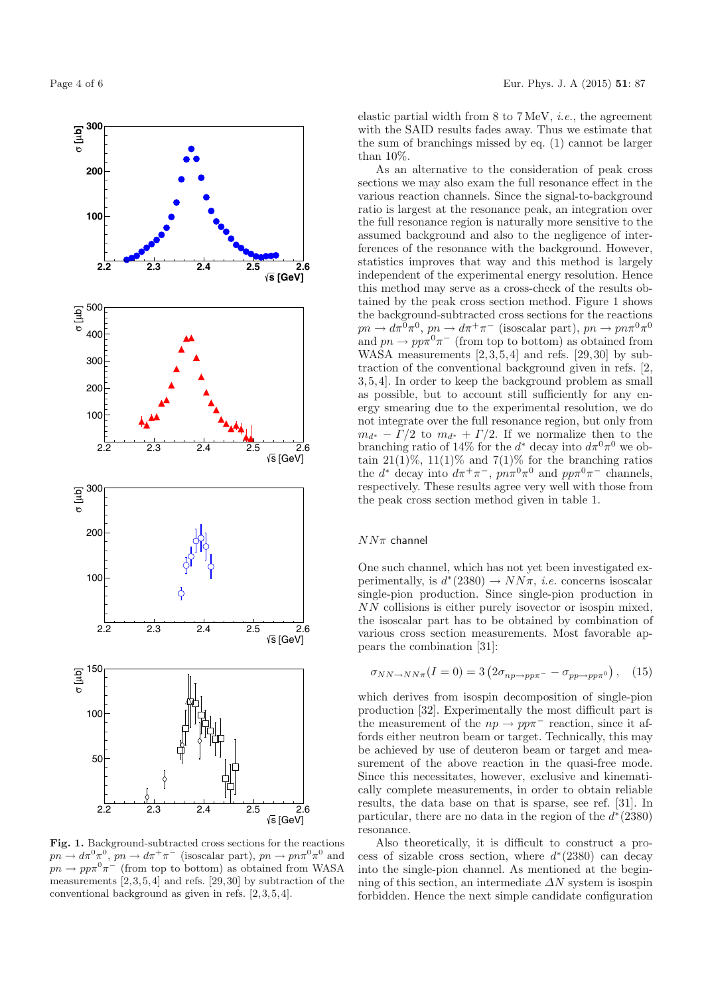

**Fig. 1.** Background-subtracted cross sections for the reactions  $pn \to d\pi^0\pi^0$ ,  $pn \to d\pi^+\pi^-$  (isoscalar part),  $pn \to pn\pi^0\pi^0$  and  $pn \to pp\pi^0\pi^-$  (from top to bottom) as obtained from WASA measurements  $[2,3,5,4]$  and refs.  $[29,30]$  by subtraction of the conventional background as given in refs. [2,3,5,4].

elastic partial width from 8 to 7MeV, i.e., the agreement with the SAID results fades away. Thus we estimate that the sum of branchings missed by eq. (1) cannot be larger than 10%.

As an alternative to the consideration of peak cross sections we may also exam the full resonance effect in the various reaction channels. Since the signal-to-background ratio is largest at the resonance peak, an integration over the full resonance region is naturally more sensitive to the assumed background and also to the negligence of interferences of the resonance with the background. However, statistics improves that way and this method is largely independent of the experimental energy resolution. Hence this method may serve as a cross-check of the results obtained by the peak cross section method. Figure 1 shows the background-subtracted cross sections for the reactions  $pn \to d\pi^0 \pi^0$ ,  $pn \to d\pi^+ \pi^-$  (isoscalar part),  $pn \to pn\pi^0 \pi^0$ and  $pn \to pp\pi^0\pi^-$  (from top to bottom) as obtained from WASA measurements [2,3,5,4] and refs. [29,30] by subtraction of the conventional background given in refs. [2, 3,5,4]. In order to keep the background problem as small as possible, but to account still sufficiently for any energy smearing due to the experimental resolution, we do not integrate over the full resonance region, but only from  $m_{d^*} - \Gamma/2$  to  $m_{d^*} + \Gamma/2$ . If we normalize then to the branching ratio of 14% for the  $d^*$  decay into  $d\pi^0\pi^0$  we obtain  $21(1)\%$ ,  $11(1)\%$  and  $7(1)\%$  for the branching ratios the  $d^*$  decay into  $d\pi^+\pi^-$ ,  $pn\pi^0\pi^0$  and  $pp\pi^0\pi^-$  channels, respectively. These results agree very well with those from the peak cross section method given in table 1.

### $NN\pi$  channel

One such channel, which has not yet been investigated experimentally, is  $d^*(2380) \to NN\pi$ , *i.e.* concerns isoscalar single-pion production. Since single-pion production in NN collisions is either purely isovector or isospin mixed, the isoscalar part has to be obtained by combination of various cross section measurements. Most favorable appears the combination [31]:

$$
\sigma_{NN \to NN\pi}(I=0) = 3 \left(2\sigma_{np \to pp\pi^-} - \sigma_{pp \to pp\pi^0}\right), \quad (15)
$$

which derives from isospin decomposition of single-pion production [32]. Experimentally the most difficult part is the measurement of the  $np \to pp\pi^-$  reaction, since it affords either neutron beam or target. Technically, this may be achieved by use of deuteron beam or target and measurement of the above reaction in the quasi-free mode. Since this necessitates, however, exclusive and kinematically complete measurements, in order to obtain reliable results, the data base on that is sparse, see ref. [31]. In particular, there are no data in the region of the  $d^*(2380)$ resonance.

Also theoretically, it is difficult to construct a process of sizable cross section, where  $d*(2380)$  can decay into the single-pion channel. As mentioned at the beginning of this section, an intermediate  $\Delta N$  system is isospin forbidden. Hence the next simple candidate configuration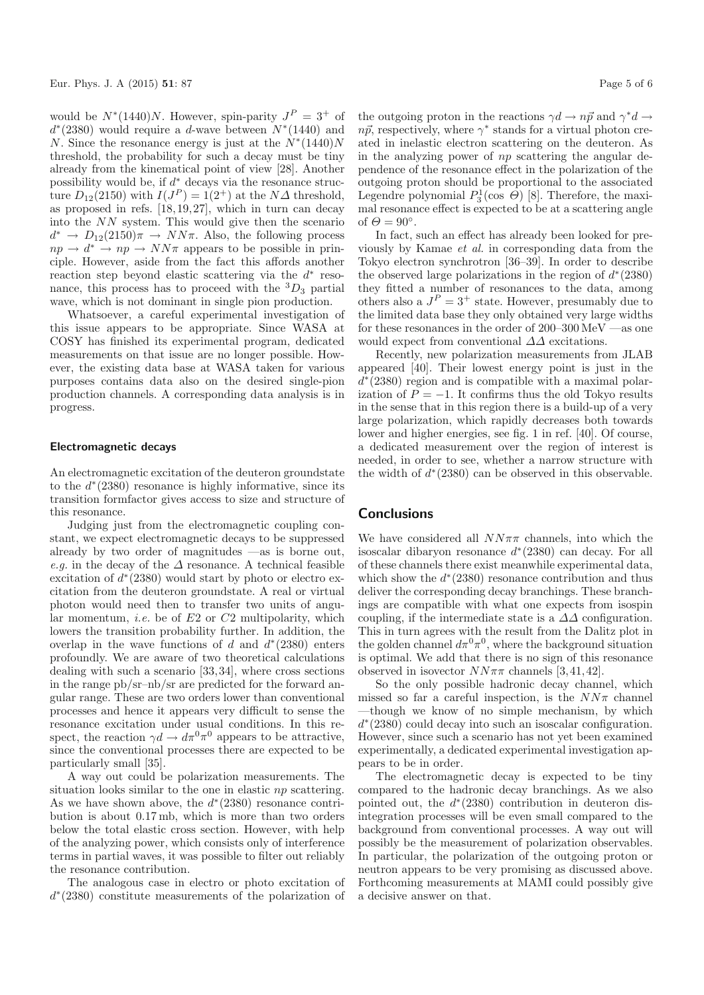would be  $N^*(1440)N$ . However, spin-parity  $J^P = 3^+$  of  $d*(2380)$  would require a d-wave between  $N*(1440)$  and N. Since the resonance energy is just at the  $N*(1440)N$ threshold, the probability for such a decay must be tiny already from the kinematical point of view [28]. Another possibility would be, if  $d^*$  decays via the resonance structure  $D_{12}(2150)$  with  $I(J^P) = I(2^+)$  at the  $N\Delta$  threshold, as proposed in refs. [18,19,27], which in turn can decay into the NN system. This would give then the scenario  $d^* \rightarrow D_{12}(2150)\pi \rightarrow NN\pi$ . Also, the following process  $np \to d^* \to np \to NN\pi$  appears to be possible in principle. However, aside from the fact this affords another reaction step beyond elastic scattering via the  $d^*$  resonance, this process has to proceed with the  ${}^{3}D_3$  partial wave, which is not dominant in single pion production.

Whatsoever, a careful experimental investigation of this issue appears to be appropriate. Since WASA at COSY has finished its experimental program, dedicated measurements on that issue are no longer possible. However, the existing data base at WASA taken for various purposes contains data also on the desired single-pion production channels. A corresponding data analysis is in progress.

#### **Electromagnetic decays**

An electromagnetic excitation of the deuteron groundstate to the  $d^*(2380)$  resonance is highly informative, since its transition formfactor gives access to size and structure of this resonance.

Judging just from the electromagnetic coupling constant, we expect electromagnetic decays to be suppressed already by two order of magnitudes —as is borne out, e.g. in the decay of the  $\varDelta$  resonance. A technical feasible excitation of  $d^*(2380)$  would start by photo or electro excitation from the deuteron groundstate. A real or virtual photon would need then to transfer two units of angular momentum, *i.e.* be of  $E2$  or  $C2$  multipolarity, which lowers the transition probability further. In addition, the overlap in the wave functions of d and  $d^*(2380)$  enters profoundly. We are aware of two theoretical calculations dealing with such a scenario [33,34], where cross sections in the range pb/sr–nb/sr are predicted for the forward angular range. These are two orders lower than conventional processes and hence it appears very difficult to sense the resonance excitation under usual conditions. In this respect, the reaction  $\gamma d \to d\pi^0 \pi^0$  appears to be attractive, since the conventional processes there are expected to be particularly small [35].

A way out could be polarization measurements. The situation looks similar to the one in elastic np scattering. As we have shown above, the  $d^*(2380)$  resonance contribution is about 0.17mb, which is more than two orders below the total elastic cross section. However, with help of the analyzing power, which consists only of interference terms in partial waves, it was possible to filter out reliably the resonance contribution.

The analogous case in electro or photo excitation of  $d<sup>*</sup>(2380)$  constitute measurements of the polarization of

the outgoing proton in the reactions  $\gamma d \to n\vec{p}$  and  $\gamma^* d \to$ 

 $n\vec{p}$ , respectively, where  $\gamma^*$  stands for a virtual photon created in inelastic electron scattering on the deuteron. As in the analyzing power of  $np$  scattering the angular dependence of the resonance effect in the polarization of the outgoing proton should be proportional to the associated Legendre polynomial  $P_3^1(\cos \Theta)$  [8]. Therefore, the maximal resonance effect is expected to be at a scattering angle of  $\Theta = 90^\circ$ .

In fact, such an effect has already been looked for previously by Kamae et al. in corresponding data from the Tokyo electron synchrotron [36–39]. In order to describe the observed large polarizations in the region of  $d^*(2380)$ they fitted a number of resonances to the data, among others also a  $J^P = 3^+$  state. However, presumably due to the limited data base they only obtained very large widths for these resonances in the order of 200–300 MeV —as one would expect from conventional  $\Delta\Delta$  excitations.

Recently, new polarization measurements from JLAB appeared [40]. Their lowest energy point is just in the  $d<sup>*</sup>(2380)$  region and is compatible with a maximal polarization of  $P = -1$ . It confirms thus the old Tokyo results in the sense that in this region there is a build-up of a very large polarization, which rapidly decreases both towards lower and higher energies, see fig. 1 in ref. [40]. Of course, a dedicated measurement over the region of interest is needed, in order to see, whether a narrow structure with the width of  $d^*(2380)$  can be observed in this observable.

## **Conclusions**

We have considered all  $NN\pi\pi$  channels, into which the isoscalar dibaryon resonance  $d^*(2380)$  can decay. For all of these channels there exist meanwhile experimental data, which show the  $d<sup>*</sup>(2380)$  resonance contribution and thus deliver the corresponding decay branchings. These branchings are compatible with what one expects from isospin coupling, if the intermediate state is a  $\Delta\Delta$  configuration. This in turn agrees with the result from the Dalitz plot in the golden channel  $d\pi^0\pi^0$ , where the background situation is optimal. We add that there is no sign of this resonance observed in isovector  $NN\pi\pi$  channels [3,41,42].

So the only possible hadronic decay channel, which missed so far a careful inspection, is the  $NN\pi$  channel —though we know of no simple mechanism, by which d<sup>∗</sup>(2380) could decay into such an isoscalar configuration. However, since such a scenario has not yet been examined experimentally, a dedicated experimental investigation appears to be in order.

The electromagnetic decay is expected to be tiny compared to the hadronic decay branchings. As we also pointed out, the d<sup>∗</sup>(2380) contribution in deuteron disintegration processes will be even small compared to the background from conventional processes. A way out will possibly be the measurement of polarization observables. In particular, the polarization of the outgoing proton or neutron appears to be very promising as discussed above. Forthcoming measurements at MAMI could possibly give a decisive answer on that.